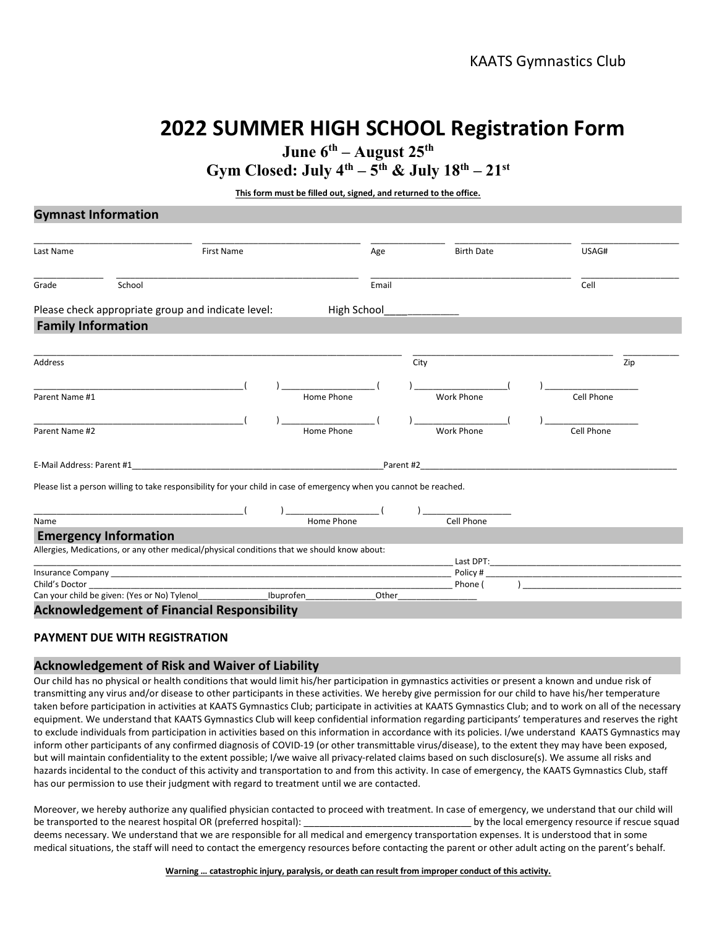# 2022 SUMMER HIGH SCHOOL Registration Form

June  $6^{\text{th}}$  – August 25<sup>th</sup>

Gym Closed: July  $4^{th}$  –  $5^{th}$  & July  $18^{th}$  –  $21^{st}$ 

This form must be filled out, signed, and returned to the office.

## Gymnast Information

| Last Name                 |                                                                                                                     | <b>First Name</b> |             | Age       | <b>Birth Date</b>   |  | USAG#                                                                                                                |
|---------------------------|---------------------------------------------------------------------------------------------------------------------|-------------------|-------------|-----------|---------------------|--|----------------------------------------------------------------------------------------------------------------------|
| Grade                     | School                                                                                                              |                   |             | Email     |                     |  | Cell                                                                                                                 |
|                           | Please check appropriate group and indicate level:                                                                  |                   | High School |           |                     |  |                                                                                                                      |
| <b>Family Information</b> |                                                                                                                     |                   |             |           |                     |  |                                                                                                                      |
| <b>Address</b>            |                                                                                                                     |                   |             |           | City                |  | Zip                                                                                                                  |
| Parent Name #1            |                                                                                                                     |                   | Home Phone  |           | <b>Work Phone</b>   |  | Cell Phone                                                                                                           |
| Parent Name #2            |                                                                                                                     |                   | Home Phone  |           | <b>Work Phone</b>   |  | Cell Phone                                                                                                           |
| E-Mail Address: Parent #1 |                                                                                                                     |                   |             | Parent #2 |                     |  |                                                                                                                      |
|                           | Please list a person willing to take responsibility for your child in case of emergency when you cannot be reached. |                   |             |           |                     |  |                                                                                                                      |
| Name                      |                                                                                                                     |                   | Home Phone  |           | Cell Phone          |  |                                                                                                                      |
|                           | <b>Emergency Information</b>                                                                                        |                   |             |           |                     |  |                                                                                                                      |
|                           | Allergies, Medications, or any other medical/physical conditions that we should know about:                         |                   |             |           | Last DPT:           |  |                                                                                                                      |
| Child's Doctor            |                                                                                                                     |                   |             |           | Policy #<br>Phone ( |  | <u> 1989 - Johann Barn, mars eta bat eta bat eta bat eta bat eta bat ez erroman ez erroman ez erroman ez erroman</u> |
|                           | Can your child be given: (Yes or No) Tylenol                                                                        | Ibuprofen         |             | Other     |                     |  |                                                                                                                      |

### Acknowledgement of Financial Responsibility

## PAYMENT DUE WITH REGISTRATION

### Acknowledgement of Risk and Waiver of Liability

Our child has no physical or health conditions that would limit his/her participation in gymnastics activities or present a known and undue risk of transmitting any virus and/or disease to other participants in these activities. We hereby give permission for our child to have his/her temperature taken before participation in activities at KAATS Gymnastics Club; participate in activities at KAATS Gymnastics Club; and to work on all of the necessary equipment. We understand that KAATS Gymnastics Club will keep confidential information regarding participants' temperatures and reserves the right to exclude individuals from participation in activities based on this information in accordance with its policies. I/we understand KAATS Gymnastics may inform other participants of any confirmed diagnosis of COVID-19 (or other transmittable virus/disease), to the extent they may have been exposed, but will maintain confidentiality to the extent possible; I/we waive all privacy-related claims based on such disclosure(s). We assume all risks and hazards incidental to the conduct of this activity and transportation to and from this activity. In case of emergency, the KAATS Gymnastics Club, staff has our permission to use their judgment with regard to treatment until we are contacted.

Moreover, we hereby authorize any qualified physician contacted to proceed with treatment. In case of emergency, we understand that our child will be transported to the nearest hospital OR (preferred hospital): example the state of the local emergency resource if rescue squad deems necessary. We understand that we are responsible for all medical and emergency transportation expenses. It is understood that in some medical situations, the staff will need to contact the emergency resources before contacting the parent or other adult acting on the parent's behalf.

#### Warning … catastrophic injury, paralysis, or death can result from improper conduct of this activity.